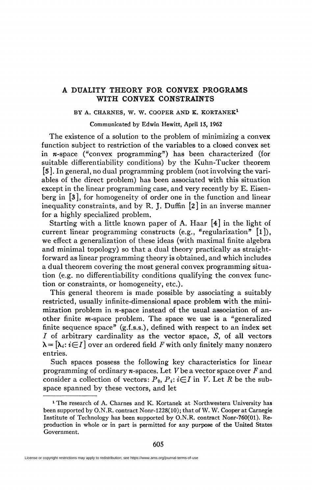## A DUALITY THEORY FOR CONVEX PROGRAMS WITH CONVEX CONSTRAINTS

## **BY A. CHARNES, W. W. COOPER AND K. KORTANEK<sup>1</sup>**

Communicated by Edwin Hewitt, April 15, 1962

The existence of a solution to the problem of minimizing a convex function subject to restriction of the variables to a closed convex set in w-space ("convex programming") has been characterized (for suitable differentiability conditions) by the Kuhn-Tucker theorem [5]. In general, no dual programming problem (not involving the variables of the direct problem) has been associated with this situation except in the linear programming case, and very recently by E. Eisenberg in [3], for homogeneity of order one in the function and linear inequality constraints, and by R. J. Duffin  $[2]$  in an inverse manner for a highly specialized problem.

Starting with a little known paper of A. Haar [4] in the light of current linear programming constructs (e.g., "regularization"  $[1]$ ), we effect a generalization of these ideas (with maximal finite algebra and minimal topology) so that a dual theory practically as straightforward as linear programming theory is obtained, and which includes a dual theorem covering the most general convex programming situation (e.g. no differentiability conditions qualifying the convex function or constraints, or homogeneity, etc.).

This general theorem is made possible by associating a suitably restricted, usually infinite-dimensional space problem with the minimization problem in  $n$ -space instead of the usual association of another finite  $m$ -space problem. The space we use is a "generalized finite sequence space"  $(g,f,s,s)$ , defined with respect to an index set I of arbitrary cardinality as the vector space, S, of all vectors  $\lambda = [\lambda_i : i \in I]$  over an ordered field F with only finitely many nonzero entries.

Such spaces possess the following key characteristics for linear programming of ordinary *n*-spaces. Let V be a vector space over F and consider a collection of vectors:  $P_0$ ,  $P_i$ :  $i \in I$  in *V*. Let *R* be the subspace spanned by these vectors, and let

<sup>&</sup>lt;sup>1</sup> The research of A. Charnes and K. Kortanek at Northwestern University has been supported by O.N.R. contract Nonr-1228(10); that of W. W. Cooper at Carnegie Institute of Technology has been supported by O.N.R. contract Nonr-760(01). Reproduction in whole or in part is permitted for any purpose of the United States Government,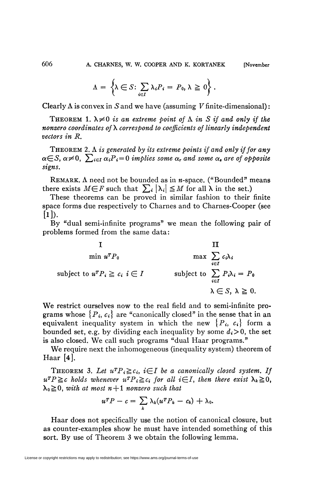$$
\Lambda = \left\{ \lambda \in S : \sum_{i \in I} \lambda_i P_i = P_0, \lambda \geq 0 \right\}.
$$

Clearly  $\Lambda$  is convex in  $S$  and we have (assuming  $V$  finite-dimensional):

THEOREM 1.  $\lambda \neq 0$  is an extreme point of  $\Lambda$  in S if and only if the *nonzero coordinates of\ correspond to coefficients of linearly independent vectors in R.* 

THEOREM 2. A *is generated by its extreme points if and only if for any*   $\alpha \in S$ ,  $\alpha \neq 0$ ,  $\sum_{i \in I} \alpha_i P_i = 0$  implies some  $\alpha_r$  and some  $\alpha_s$  are of opposite *signs.* 

REMARK.  $\Lambda$  need not be bounded as in *n*-space. ("Bounded" means there exists  $M \in F$  such that  $\sum_i |\lambda_i| \leq M$  for all  $\lambda$  in the set.)

These theorems can be proved in similar fashion to their finite space forms due respectively to Charnes and to Charnes-Cooper (see  $[1]$ .

By "dual semi-infinite programs" we mean the following pair of problems formed from the same data:

$$
\begin{aligned}\n &\text{I} & \text{III} \\
&\text{min } u^T P_0 &\text{max } \sum_{i \in I} c_i \lambda_i \\
&\text{subject to } u^T P_i \ge c_i \quad i \in I\n \end{aligned}
$$
\n
$$
\begin{aligned}\n &\text{subject to } \sum_{i \in I} P_i \lambda_i = P_0 \\
&\lambda \in S, \quad \lambda \ge 0.\n \end{aligned}
$$

We restrict ourselves now to the real field and to semi-infinite programs whose  $\{P_i, c_i\}$  are "canonically closed" in the sense that in an equivalent inequality system in which the new  $\{P_i, c_i\}$  form a bounded set, e.g. by dividing each inequality by some  $d_i > 0$ , the set is also closed. We call such programs "dual Haar programs."

We require next the inhomogeneous (inequality system) theorem of Haar  $[4]$ .

THEOREM 3. Let  $u^T P_i \ge c_i$ ,  $i \in I$  be a canonically closed system. If  $u^T P \geq c$  holds whenever  $u^T P_i \geq c_i$  for all  $i \in I$ , then there exist  $\lambda_k \geq 0$ ,  $\lambda_0 \geq 0$ , with at most  $n + 1$  nonzero such that

$$
u^T P - c = \sum_k \lambda_k (u^T P_k - c_k) + \lambda_0.
$$

Haar does not specifically use the notion of canonical closure, but as counter-examples show he must have intended something of this sort. By use of Theorem 3 we obtain the following lemma.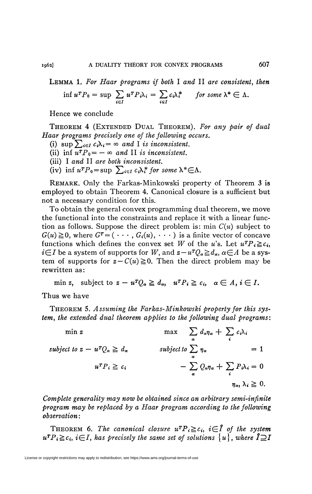LEMMA 1. For Haar programs if both I and II are consistent, then

$$
\inf u^T P_0 = \sup \sum_{i \in I} u^T P_i \lambda_i = \sum_{i \in I} c_i \lambda_i^* \quad \text{for some } \lambda^* \in \Lambda.
$$

Hence we conclude

THEOREM 4 (EXTENDED DUAL THEOREM). For any pair of dual Haar programs precisely one of the following occurs.

- (i)  $\sup \sum_{i \in I} c_i \lambda_i = \infty$  and I is inconsistent.
- (ii) inf  $u^T P_0 = -\infty$  and II is inconsistent.
- (iii) I and II are both inconsistent.
- (iv) inf  $u^T P_0 = \sup \sum_{i \in I} c_i \lambda_i^*$  for some  $\lambda^* \in \Lambda$ .

REMARK. Only the Farkas-Minkowski property of Theorem 3 is employed to obtain Theorem 4. Canonical closure is a sufficient but not a necessary condition for this.

To obtain the general convex programming dual theorem, we move the functional into the constraints and replace it with a linear function as follows. Suppose the direct problem is: min  $C(u)$  subject to  $G(u) \ge 0$ , where  $G^T = (\cdots, G_i(u), \cdots)$  is a finite vector of concave functions which defines the convex set W of the u's. Let  $u^T P_i \geq c_i$ ,  $i\in I$  be a system of supports for W, and  $z-u^TQ_{\alpha} \ge d_{\alpha}$ ,  $\alpha \in A$  be a system of supports for  $z - C(u) \ge 0$ . Then the direct problem may be rewritten as:

min z, subject to  $z - u^T Q_\alpha \geq d_\alpha$ ,  $u^T P_i \geq c_i$ ,  $\alpha \in A, i \in I$ .

Thus we have

THEOREM 5. Assuming the Farkas-Minkowski property for this system, the extended dual theorem applies to the following dual programs:

$$
\min z \qquad \max \qquad \sum_{\alpha} d_{\alpha} \eta_{\alpha} + \sum_{i} c_{i} \lambda_{i}
$$
\n
$$
\text{subject to } z - u^{T} Q_{\alpha} \geq d_{\alpha} \qquad \qquad \text{subject to } \sum_{\alpha} \eta_{\alpha} \qquad = 1
$$
\n
$$
u^{T} P_{i} \geq c_{i} \qquad -\sum_{\alpha} Q_{\alpha} \eta_{\alpha} + \sum_{i} P_{i} \lambda_{i} = 0
$$
\n
$$
\eta_{\alpha}, \lambda_{i} \geq 0.
$$

Complete generality may now be obtained since an arbitrary semi-infinite program may be replaced by a Haar program according to the following *observation*:

**THEOREM** 6. The canonical closure  $u^T P_i \ge c_i$ ,  $i \in \hat{I}$  of the system  $u^T P_i \geq c_i$ ,  $i \in I$ , has precisely the same set of solutions  $\{u\}$ , where  $\mathbf{I} \supseteq \mathbf{I}$